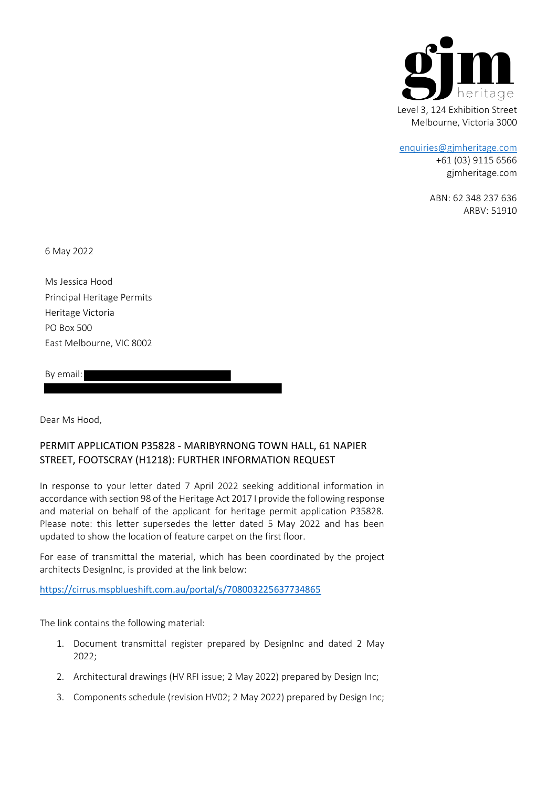

#### [enquiries@gjmheritage.com](mailto:enquiries@gjmheritage.com)

+61 (03) 9115 6566 gjmheritage.com

ABN: 62 348 237 636 ARBV: 51910

6 May 2022

Ms Jessica Hood Principal Heritage Permits Heritage Victoria PO Box 500 East Melbourne, VIC 8002

By email:

Dear Ms Hood,

# PERMIT APPLICATION P35828 - MARIBYRNONG TOWN HALL, 61 NAPIER STREET, FOOTSCRAY (H1218): FURTHER INFORMATION REQUEST

In response to your letter dated 7 April 2022 seeking additional information in accordance with section 98 of the Heritage Act 2017 I provide the following response and material on behalf of the applicant for heritage permit application P35828. Please note: this letter supersedes the letter dated 5 May 2022 and has been updated to show the location of feature carpet on the first floor.

For ease of transmittal the material, which has been coordinated by the project architects DesignInc, is provided at the link below:

[https://cirrus.mspblueshift.com.au/portal/s/708003225637734865](https://linkprotect.cudasvc.com/url?a=https%3a%2f%2fcirrus.mspblueshift.com.au%2fportal%2fs%2f708003225637734865&c=E,1,wXiThyNZ99BF0X5oxHf71_2DhAnX-arZ-V5mnJXJhIzsJIEgig470NzmGOHzZhXs6t1XPF5KqHuZemzjGZyglprrnruGaUdm6OfuVemd9123wFoErS7Z6J2vEC0,&typo=1)

The link contains the following material:

- 1. Document transmittal register prepared by DesignInc and dated 2 May 2022;
- 2. Architectural drawings (HV RFI issue; 2 May 2022) prepared by Design Inc;
- 3. Components schedule (revision HV02; 2 May 2022) prepared by Design Inc;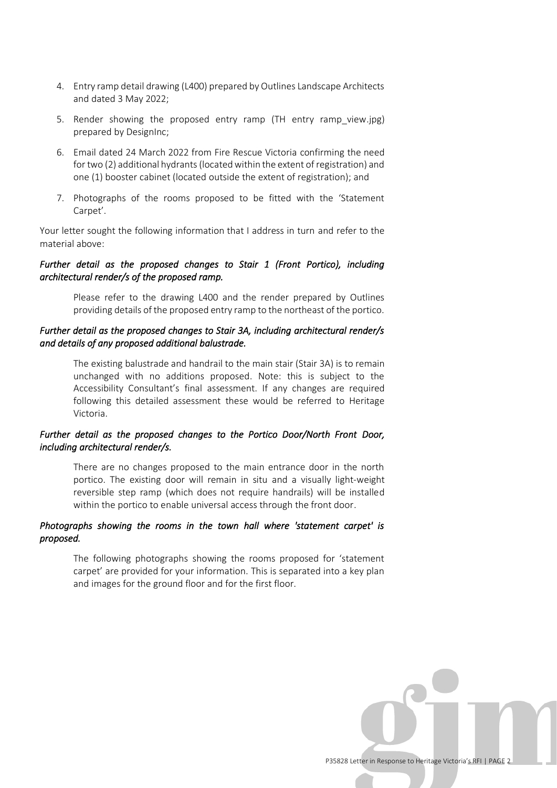- 4. Entry ramp detail drawing (L400) prepared by Outlines Landscape Architects and dated 3 May 2022;
- 5. Render showing the proposed entry ramp (TH entry ramp view.jpg) prepared by DesignInc;
- 6. Email dated 24 March 2022 from Fire Rescue Victoria confirming the need for two (2) additional hydrants (located within the extent of registration) and one (1) booster cabinet (located outside the extent of registration); and
- 7. Photographs of the rooms proposed to be fitted with the 'Statement Carpet'.

Your letter sought the following information that I address in turn and refer to the material above:

## *Further detail as the proposed changes to Stair 1 (Front Portico), including architectural render/s of the proposed ramp.*

Please refer to the drawing L400 and the render prepared by Outlines providing details of the proposed entry ramp to the northeast of the portico.

## *Further detail as the proposed changes to Stair 3A, including architectural render/s and details of any proposed additional balustrade.*

The existing balustrade and handrail to the main stair (Stair 3A) is to remain unchanged with no additions proposed. Note: this is subject to the Accessibility Consultant's final assessment. If any changes are required following this detailed assessment these would be referred to Heritage Victoria.

## *Further detail as the proposed changes to the Portico Door/North Front Door, including architectural render/s.*

There are no changes proposed to the main entrance door in the north portico. The existing door will remain in situ and a visually light-weight reversible step ramp (which does not require handrails) will be installed within the portico to enable universal access through the front door.

#### *Photographs showing the rooms in the town hall where 'statement carpet' is proposed.*

The following photographs showing the rooms proposed for 'statement carpet' are provided for your information. This is separated into a key plan and images for the ground floor and for the first floor.

P35828 Letter in Response to Heritage Victoria's RFI | PAGE 2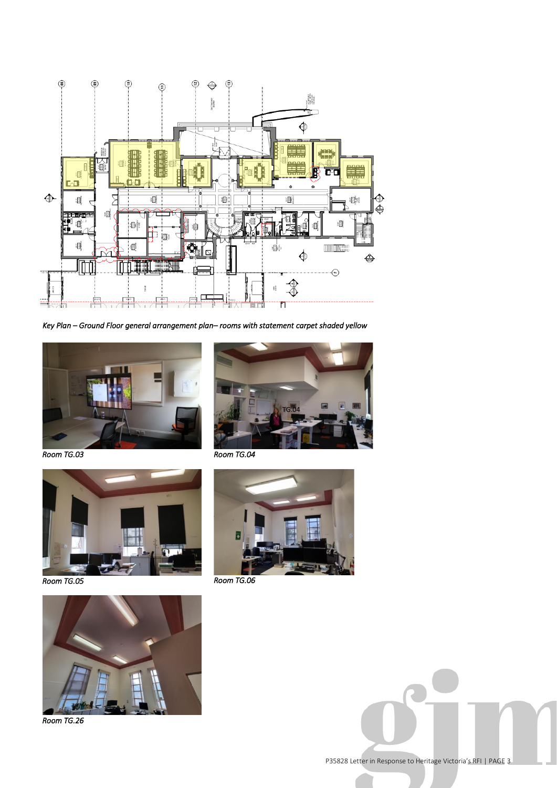

*Key Plan – Ground Floor general arrangement plan– rooms with statement carpet shaded yellow* 



*Room TG.03* 



*Room TG.05* 



*Room TG.04* 



*Room TG.06* 



*Room TG.26* 

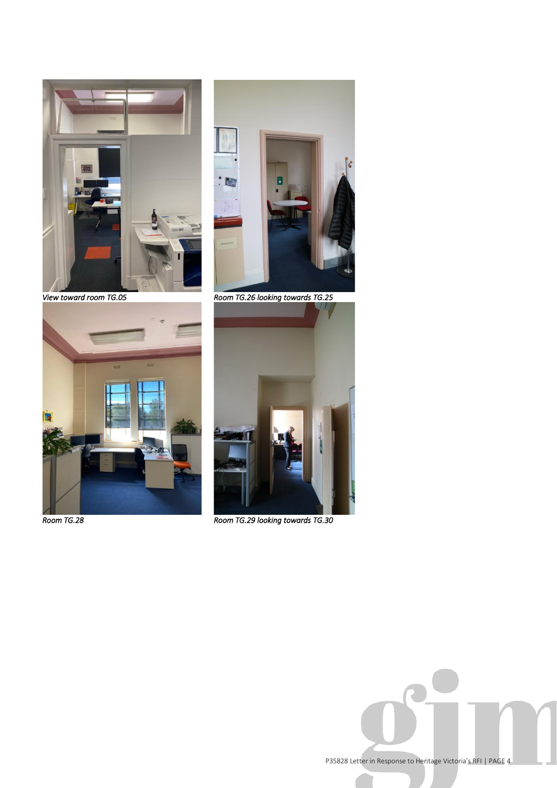

**D** 

*View toward room TG.05 Room TG.26 looking towards TG.25* 



*Room TG.28* 



*Room TG.29 looking towards TG.30* 

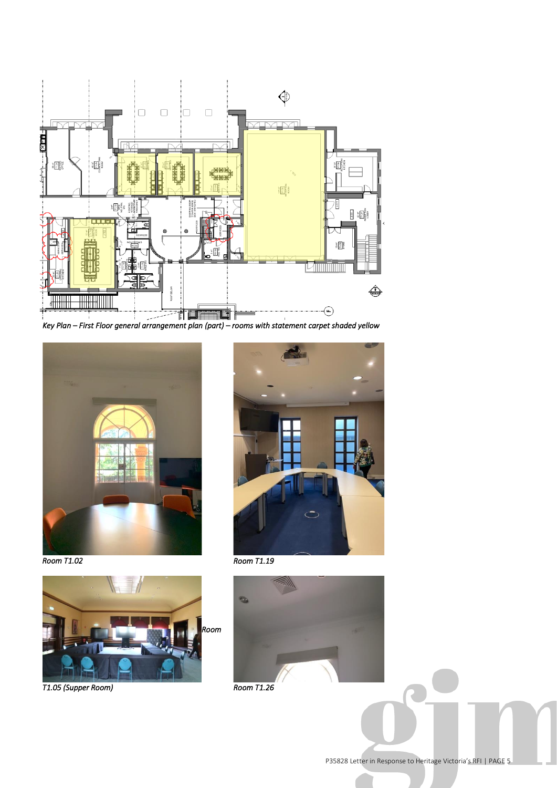



*Room T1.02* 



*T1.05 (Supper Room)* 



*Room T1.19* 



*Room T1.26*